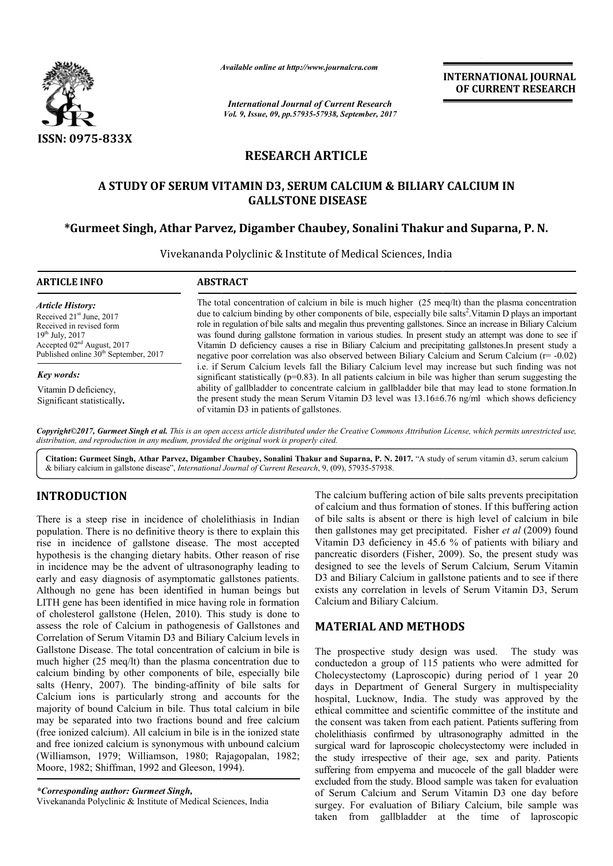

*Available online at http://www.journalcra.com*

*International Journal of Current Research Vol. 9, Issue, 09, pp.57935-57938, September, 2017* **INTERNATIONAL JOURNAL OF CURRENT RESEARCH**

# **RESEARCH ARTICLE**

# **A STUDY OF SERUM VITAMIN D3, SERUM CALCIUM & BILIARY CALCIUM IN GALLSTONE DISEASE**

# \*Gurmeet Singh, Athar Parvez, Digamber Chaubey, Sonalini Thakur and Suparna, P. N.

Vivekananda Polyclinic & Institute of Medical Sciences, India

| <b>ARTICLE INFO</b>                                                                                                                                                                                      | <b>ABSTRACT</b>                                                                                                                                                                                                                                                                                                                                                                                                                                                                                                                                                                                                                                                                  |  |  |  |  |
|----------------------------------------------------------------------------------------------------------------------------------------------------------------------------------------------------------|----------------------------------------------------------------------------------------------------------------------------------------------------------------------------------------------------------------------------------------------------------------------------------------------------------------------------------------------------------------------------------------------------------------------------------------------------------------------------------------------------------------------------------------------------------------------------------------------------------------------------------------------------------------------------------|--|--|--|--|
| <b>Article History:</b><br>Received 21 <sup>st</sup> June, 2017<br>Received in revised form<br>$19^{th}$ July, 2017<br>Accepted $02nd$ August, 2017<br>Published online 30 <sup>th</sup> September, 2017 | The total concentration of calcium in bile is much higher $(25 \text{ meq/lt})$ than the plasma concentration<br>due to calcium binding by other components of bile, especially bile salts <sup>2</sup> . Vitamin D plays an important<br>role in regulation of bile salts and megalin thus preventing gallstones. Since an increase in Biliary Calcium<br>was found during gallstone formation in various studies. In present study an attempt was done to see if<br>Vitamin D deficiency causes a rise in Biliary Calcium and precipitating gallstones. In present study a<br>negative poor correlation was also observed between Biliary Calcium and Serum Calcium (r= -0.02) |  |  |  |  |
| <b>Key words:</b>                                                                                                                                                                                        | i.e. if Serum Calcium levels fall the Biliary Calcium level may increase but such finding was not<br>significant statistically ( $p=0.83$ ). In all patients calcium in bile was higher than serum suggesting the                                                                                                                                                                                                                                                                                                                                                                                                                                                                |  |  |  |  |
| Vitamin D deficiency,<br>Significant statistically.                                                                                                                                                      | ability of gallbladder to concentrate calcium in gallbladder bile that may lead to stone formation. In<br>the present study the mean Serum Vitamin D3 level was $13.16 \pm 6.76$ ng/ml which shows deficiency<br>of vitamin D3 in patients of gallstones.                                                                                                                                                                                                                                                                                                                                                                                                                        |  |  |  |  |

*Copyright©2017, Gurmeet Singh et al. This is an open distribution, and reproduction in any medium, provided the original work is properly cited. access article distributed under the Creative Commons Attribution License, which permits unrestricted use,*

Citation: Gurmeet Singh, Athar Parvez, Digamber Chaubey, Sonalini Thakur and Suparna, P. N. 2017. "A study of serum vitamin d3, serum calcium & biliary calcium in gallstone disease", *International Journal of Current Research*, 9, (09), 57935-57938.

# **INTRODUCTION**

There is a steep rise in incidence of cholelithiasis in Indian population. There is no definitive theory is there to explain this rise in incidence of gallstone disease. The most accepted hypothesis is the changing dietary habits. Other reason of rise in incidence may be the advent of ultrasonography leading to early and easy diagnosis of asymptomatic gallstones patients. Although no gene has been identified in human beings but LITH gene has been identified in mice having role in formation of cholesterol gallstone (Helen, 2010). This study is done to assess the role of Calcium in pathogenesis of Gallstones and Correlation of Serum Vitamin D3 and Biliary Calcium levels in Gallstone Disease. The total concentration of calcium in bile is much higher (25 meq/lt) than the plasma concentration due to calcium binding by other components of bile, especially bile salts (Henry, 2007). The binding-affinity of bile salts for Calcium ions is particularly strong and accounts for the majority of bound Calcium in bile. Thus total calcium in bile may be separated into two fractions bound and free calcium (free ionized calcium). All calcium in bile is in the ionized state and free ionized calcium is synonymous with unbound calcium (Williamson, 1979; Williamson, 1980; Rajagopalan Moore, 1982; Shiffman, 1992 and Gleeson, 1994). g by other components of bile, especially bile 2007). The binding-affinity of bile salts for is particularly strong and accounts for the und Calcium in bile. Thus total calcium in bile ted into two fractions bound and free The calcium buffering action of bile salts prevents precipitation of calcium and thus formation of stones. If this buffering action of bile salts is absent or there is high level of calcium in bile The calcium buffering action of bile salts prevents precipitation<br>of calcium and thus formation of stones. If this buffering action<br>of bile salts is absent or there is high level of calcium in bile<br>then gallstones may get Vitamin D3 deficiency in 45.6 % of patients with biliary and Vitamin D3 deficiency in 45.6 % of patients with biliary and pancreatic disorders (Fisher, 2009). So, the present study was designed to see the levels of Serum Calcium, Serum Vitamin D3 and Biliary Calcium in gallstone patients and to see if there exists any correlation in levels of Serum Vitamin D3, Serum Calcium and Biliary Calcium. designed to see the levels of Serum Calcium, Serum Vitamin<br>
13 and Biliary Calcium in gallstone patients and to see if there<br>
xists any correlation in levels of Serum Vitamin D3, Serum<br>
Talcium and Biliary Calcium.<br> **MATER** 

### **MATERIAL AND METHODS**

The prospective study design was used. The study was conductedon a group of 115 patients who were admitted for Cholecystectomy (Laproscopic) during period of 1 year 20 days in Department of General Surgery in multispeciality hospital, Lucknow, India. The study was approved by the ethical committee and scientific committee of the institute and the consent was taken from each patient. Patients suffering from cholelithiasis confirmed by ultrasonography admitted in the surgical ward for laproscopic cholecystectomy were included in the study irrespective of their age, sex and parity. Patients suffering from empyema and mucocele of the gall bladder were excluded from the study. Blood sample was taken for evaluation of Serum Calcium and Serum Vitamin D3 one day before surgey. For evaluation of Biliary Calcium, bile sample was taken from gallbladder at the time of laproscopic epartment of General Surgery in multispeciality<br>ucknow, India. The study was approved by the<br>mittee and scientific committee of the institute and<br>was taken from each patient. Patients suffering from cholelithiasis confirmed by ultrasonography admitted in the surgical ward for laproscopic cholecystectomy were included in the study irrespective of their age, sex and parity. Patients suffering from empyema and mucocele o **INTERNATIONAL JOURNAL**<br> **OF CURRENT RESEARCH**<br> **OF CURRENT RESEARCH**<br> **OF CURRENT RESEARCH**<br> **Englarity Calcium**<br> **Englarity Sample For Vitamin D plays an important side salts<sup>2</sup>. Vitamin D plays an important side is als** 

*<sup>\*</sup>Corresponding author: Gurmeet Singh,* Vivekananda Polyclinic & Institute of Medical Sciences, India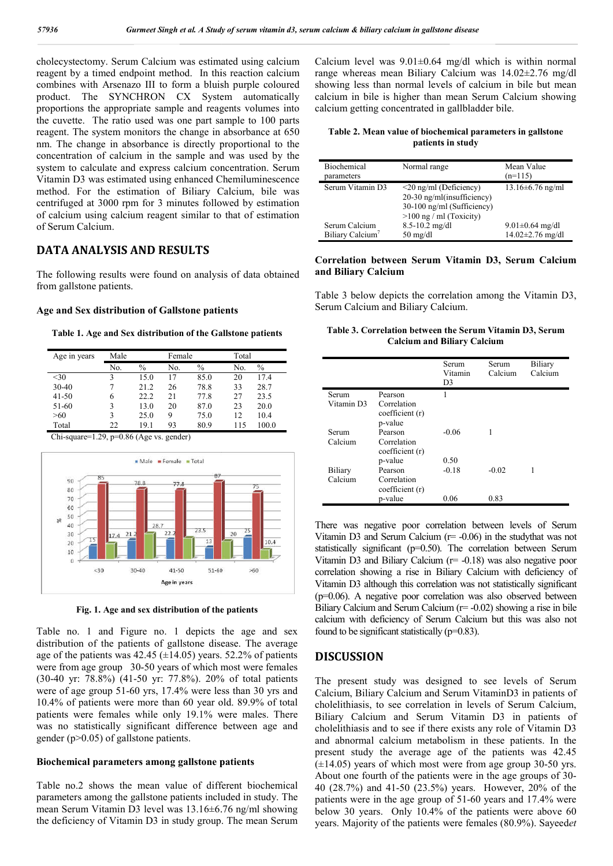cholecystectomy. Serum Calcium was estimated using calcium reagent by a timed endpoint method. In this reaction calcium combines with Arsenazo III to form a bluish purple coloured product. The SYNCHRON CX System automatically proportions the appropriate sample and reagents volumes into the cuvette. The ratio used was one part sample to 100 parts reagent. The system monitors the change in absorbance at 650 nm. The change in absorbance is directly proportional to the concentration of calcium in the sample and was used by the system to calculate and express calcium concentration. Serum Vitamin D3 was estimated using enhanced Chemiluminescence method. For the estimation of Biliary Calcium, bile was centrifuged at 3000 rpm for 3 minutes followed by estimation of calcium using calcium reagent similar to that of estimation of Serum Calcium.

### **DATA ANALYSIS AND RESULTS**

The following results were found on analysis of data obtained from gallstone patients. agent similar to that of<br> **RESULTS**<br>
found on analysis of da<br> **f** Gallstone patients<br>
ibution of the Gallstone<br>
Female Total

#### **Age and Sex distribution of Gallstone patients**

**Table 1. Age and Sex distribution of the Gallstone patients**

| Age in years | Male |      |     | Female |     | Total         |  |
|--------------|------|------|-----|--------|-----|---------------|--|
|              | No.  | $\%$ | No. | $\%$   | No. | $\frac{0}{0}$ |  |
| $30$         | 3    | 15.0 | 17  | 85.0   | 20  | 17.4          |  |
| $30 - 40$    |      | 21.2 | 26  | 78.8   | 33  | 28.7          |  |
| $41 - 50$    | 6    | 22.2 | 21  | 77.8   | 27  | 23.5          |  |
| 51-60        | 3    | 13.0 | 20  | 87.0   | 23  | 20.0          |  |
| >60          | 3    | 25.0 | 9   | 75.0   | 12  | 10.4          |  |
| Total        | 22   | 19.1 | 93  | 80.9   | 115 | 100.0         |  |

Chi-square=1.29, p=0.86 (Age vs. gender)



**Fig. 1. Age and sex distribution of the patients**

Table no. 1 and Figure no. 1 depicts the age and sex distribution of the patients of gallstone disease. The average age of the patients was  $42.45 \ (\pm 14.05)$  years. 52.2% of patients were from age group 30-50 years of which most were females (30-40 yr: 78.8%) (41-50 yr: 77.8%). 20% of total patients were from age group 30-50 years of which most were females (30-40 yr: 78.8%) (41-50 yr: 77.8%). 20% of total patients were of age group 51-60 yrs, 17.4% were less than 30 yrs and 10.4% of patients were more than 60 year old. 89.9% of total patients were females while only 19.1% were males. There was no statistically significant difference between age and gender (p>0.05) of gallstone patients.

#### **Biochemical parameters among gallstone patients meters**

Table no.2 shows the mean value of different biochemical parameters among the gallstone patients included in study. The mean Serum Vitamin D3 level was 13.16±6.76 ng/ml showing the deficiency of Vitamin D3 in study group. The mean Serum

| Table 2. Mean value of biochemical parameters in gallstone |  |
|------------------------------------------------------------|--|
| patients in study                                          |  |

| Biochemical<br>parameters    | Normal range                                                                                                          | Mean Value<br>$(n=115)$ |
|------------------------------|-----------------------------------------------------------------------------------------------------------------------|-------------------------|
| Serum Vitamin D3             | $\leq$ 20 ng/ml (Deficiency)<br>20-30 ng/ml(insufficiency)<br>30-100 ng/ml (Sufficiency)<br>$>100$ ng / ml (Toxicity) | $13.16 \pm 6.76$ ng/ml  |
| Serum Calcium                | $8.5 - 10.2$ mg/dl                                                                                                    | $9.01 \pm 0.64$ mg/dl   |
| Biliary Calcium <sup>7</sup> | $50 \text{ mg/dl}$                                                                                                    | $14.02 \pm 2.76$ mg/dl  |

#### **Correlation between Serum Vitamin D3, Serum Calcium and Biliary Calcium**

#### Table 3. Correlation between the Serum Vitamin D3, Serum **Calcium and Biliary Calcium Calcium**

| timated using calcium<br>this reaction calcium<br>luish purple coloured<br>ystem<br>automatically<br>eagents volumes into<br>t sample to 100 parts<br>in absorbance at 650<br>ly proportional to the<br>and was used by the | Calcium level was $9.01 \pm 0.64$ mg/dl which is within norma<br>range whereas mean Biliary Calcium was $14.02 \pm 2.76$ mg/c<br>showing less than normal levels of calcium in bile but mea<br>calcium in bile is higher than mean Serum Calcium showing<br>calcium getting concentrated in gallbladder bile.<br>Table 2. Mean value of biochemical parameters in gallstone<br>patients in study                                                                                                                                                                                                                                                                                                      |                                                                 |                                    |                  |                                                 |  |
|-----------------------------------------------------------------------------------------------------------------------------------------------------------------------------------------------------------------------------|-------------------------------------------------------------------------------------------------------------------------------------------------------------------------------------------------------------------------------------------------------------------------------------------------------------------------------------------------------------------------------------------------------------------------------------------------------------------------------------------------------------------------------------------------------------------------------------------------------------------------------------------------------------------------------------------------------|-----------------------------------------------------------------|------------------------------------|------------------|-------------------------------------------------|--|
| concentration. Serum                                                                                                                                                                                                        | Biochemical<br>parameters                                                                                                                                                                                                                                                                                                                                                                                                                                                                                                                                                                                                                                                                             |                                                                 | Normal range                       |                  | Mean Value<br>$(n=115)$                         |  |
| d Chemiluminescence<br>Calcium, bile was<br>ollowed by estimation<br>to that of estimation                                                                                                                                  | <20 ng/ml (Deficiency)<br>Serum Vitamin D3<br>20-30 ng/ml(insufficiency)<br>30-100 ng/ml (Sufficiency)<br>$>100$ ng / ml (Toxicity)                                                                                                                                                                                                                                                                                                                                                                                                                                                                                                                                                                   |                                                                 |                                    | 13.16±6.76 ng/ml |                                                 |  |
|                                                                                                                                                                                                                             | Serum Calcium<br>Biliary Calcium                                                                                                                                                                                                                                                                                                                                                                                                                                                                                                                                                                                                                                                                      | $8.5 - 10.2$ mg/dl<br>$50 \text{ mg/dl}$                        |                                    |                  | $9.01 \pm 0.64$ mg/dl<br>$14.02 \pm 2.76$ mg/dl |  |
| lysis of data obtained                                                                                                                                                                                                      | Correlation between Serum Vitamin D3, Serum Calciun<br>and Biliary Calcium                                                                                                                                                                                                                                                                                                                                                                                                                                                                                                                                                                                                                            |                                                                 |                                    |                  |                                                 |  |
| atients                                                                                                                                                                                                                     | Table 3 below depicts the correlation among the Vitamin D3<br>Serum Calcium and Biliary Calcium.                                                                                                                                                                                                                                                                                                                                                                                                                                                                                                                                                                                                      |                                                                 |                                    |                  |                                                 |  |
| <b>Gallstone patients</b>                                                                                                                                                                                                   | Table 3. Correlation between the Serum Vitamin D3, Serum                                                                                                                                                                                                                                                                                                                                                                                                                                                                                                                                                                                                                                              | <b>Calcium and Biliary Calcium</b>                              |                                    |                  |                                                 |  |
| Total<br>$\%$<br>No.<br>$\mathbf{0}$<br>20<br>17.4                                                                                                                                                                          |                                                                                                                                                                                                                                                                                                                                                                                                                                                                                                                                                                                                                                                                                                       |                                                                 | Serum<br>Vitamin<br>D <sub>3</sub> | Serum<br>Calcium | Biliary<br>Calcium                              |  |
| 8<br>33<br>28.7<br>8<br>27<br>23.5<br>0<br>23<br>20.0<br>0<br>12<br>10.4<br>9<br>115<br>100.0                                                                                                                               | Serum<br>Vitamin D3                                                                                                                                                                                                                                                                                                                                                                                                                                                                                                                                                                                                                                                                                   | Pearson<br>Correlation<br>coefficient (r)<br>p-value            | 1                                  |                  |                                                 |  |
|                                                                                                                                                                                                                             | Serum<br>Calcium                                                                                                                                                                                                                                                                                                                                                                                                                                                                                                                                                                                                                                                                                      | Pearson<br>Correlation<br>coefficient (r)                       | $-0.06$<br>0.50                    | 1                |                                                 |  |
| 75                                                                                                                                                                                                                          | Biliary<br>Calcium                                                                                                                                                                                                                                                                                                                                                                                                                                                                                                                                                                                                                                                                                    | p-value<br>Pearson<br>Correlation<br>coefficient (r)<br>p-value | $-0.18$<br>0.06                    | $-0.02$<br>0.83  | 1                                               |  |
| 25<br>20<br>3<br>10.4<br>$51 - 60$<br>>60<br>the patients<br>ts the age and sex                                                                                                                                             | There was negative poor correlation between levels of Serur<br>Vitamin D3 and Serum Calcium ( $r = -0.06$ ) in the study that was no<br>statistically significant ( $p=0.50$ ). The correlation between Serur<br>Vitamin D3 and Biliary Calcium ( $r = -0.18$ ) was also negative poor<br>correlation showing a rise in Biliary Calcium with deficiency of<br>Vitamin D3 although this correlation was not statistically significar<br>$(p=0.06)$ . A negative poor correlation was also observed betwee<br>Biliary Calcium and Serum Calcium (r= -0.02) showing a rise in bil<br>calcium with deficiency of Serum Calcium but this was also no<br>found to be significant statistically $(p=0.83)$ . |                                                                 |                                    |                  |                                                 |  |
| disease. The average<br>ars. 52.2% of patients<br>ch most were females                                                                                                                                                      | <b>DISCUSSION</b>                                                                                                                                                                                                                                                                                                                                                                                                                                                                                                                                                                                                                                                                                     |                                                                 |                                    |                  |                                                 |  |
| 20% of total patients<br>e less than 30 yrs and<br>ar old. 89.9% of total<br>6 were males. There<br>ce between age and                                                                                                      | The present study was designed to see levels of Serur<br>Calcium, Biliary Calcium and Serum VitaminD3 in patients o<br>cholelithiasis, to see correlation in levels of Serum Calcium<br>Biliary Calcium and Serum Vitamin D3 in patients o<br>cholelithiasis and to see if there exists any role of Vitamin D.<br>and abnormal calcium metabolism in these patients. In the<br>present study the average age of the patients was 42.4                                                                                                                                                                                                                                                                 |                                                                 |                                    |                  |                                                 |  |
| ne patients<br>different biochemical<br>ncluded in study. The<br>$\pm 6.76$ ng/ml showing                                                                                                                                   | $(\pm 14.05)$ years of which most were from age group 30-50 yrs<br>About one fourth of the patients were in the age groups of 30<br>40 (28.7%) and 41-50 (23.5%) years. However, 20% of th<br>patients were in the age group of 51-60 years and 17.4% wer                                                                                                                                                                                                                                                                                                                                                                                                                                             |                                                                 |                                    |                  |                                                 |  |
|                                                                                                                                                                                                                             | below 30 years. Only $10.4\%$ of the natients were above 6                                                                                                                                                                                                                                                                                                                                                                                                                                                                                                                                                                                                                                            |                                                                 |                                    |                  |                                                 |  |

### **DISCUSSION**

The present study was designed to see levels of Serum Calcium, Biliary Calcium and Serum VitaminD3 in patients of cholelithiasis, to see correlation in levels of Serum Calcium, Biliary Calcium and Serum Vitamin D3 in patients of cholelithiasis and to see if there exists any role of Vitamin D3 and abnormal calcium metabolism in these patients. present study the average age of the patients was 42.45 present study the average age of the patients was  $42.45 \neq 14.05$ ) years of which most were from age group 30-50 yrs. About one fourth of the patients were in the age groups of 30-40 (28.7%) and 41-50 (23.5%) years. However, 20% of the 40  $(28.7%)$  and 41-50  $(23.5%)$  years. However, 20% of the patients were in the age group of 51-60 years and 17.4% were below 30 years. Only 10.4% of the patients were above 60 below 30 years. Only 10.4% of the patients were above 60 years. Majority of the patients were females (80.9%). Sayeedet m with deficiency of Serum Calcium but this was also not<br>to be significant statistically (p=0.83).<br>CUSSION<br>present study was designed to see levels of Serum<br>um, Biliary Calcium and Serum VitaminD3 in patients of<br>lithiasis,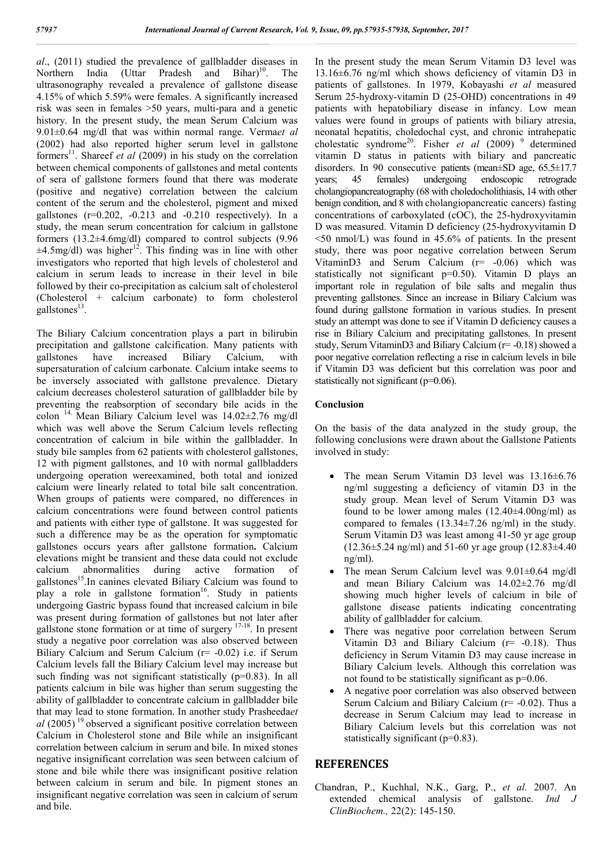*al*., (2011) studied the prevalence of gallbladder diseases in Northern India (Uttar Pradesh and Bihar)<sup>10</sup>. The ultrasonography revealed a prevalence of gallstone disease 4.15% of which 5.59% were females. A significantly increased risk was seen in females >50 years, multi-para and a genetic history. In the present study, the mean Serum Calcium was 9.01±0.64 mg/dl that was within normal range. Verma*et al* (2002) had also reported higher serum level in gallstone formers<sup>11</sup>. Shareef *et al* (2009) in his study on the correlation between chemical components of gallstones and metal contents of sera of gallstone formers found that there was moderate (positive and negative) correlation between the calcium content of the serum and the cholesterol, pigment and mixed gallstones  $(r=0.202, -0.213$  and  $-0.210$  respectively). In a study, the mean serum concentration for calcium in gallstone formers (13.2±4.6mg/dl) compared to control subjects (9.96  $\pm 4.5$ mg/dl) was higher<sup>12</sup>. This finding was in line with other investigators who reported that high levels of cholesterol and calcium in serum leads to increase in their level in bile followed by their co-precipitation as calcium salt of cholesterol (Cholesterol + calcium carbonate) to form cholesterol gallstones $^{13}$ .

The Biliary Calcium concentration plays a part in bilirubin precipitation and gallstone calcification. Many patients with gallstones have increased Biliary Calcium, with supersaturation of calcium carbonate. Calcium intake seems to be inversely associated with gallstone prevalence. Dietary calcium decreases cholesterol saturation of gallbladder bile by preventing the reabsorption of secondary bile acids in the colon <sup>14.</sup> Mean Biliary Calcium level was  $14.02\pm2.76$  mg/dl which was well above the Serum Calcium levels reflecting concentration of calcium in bile within the gallbladder. In study bile samples from 62 patients with cholesterol gallstones, 12 with pigment gallstones, and 10 with normal gallbladders undergoing operation wereexamined, both total and ionized calcium were linearly related to total bile salt concentration. When groups of patients were compared, no differences in calcium concentrations were found between control patients and patients with either type of gallstone. It was suggested for such a difference may be as the operation for symptomatic gallstones occurs years after gallstone formation**.** Calcium elevations might be transient and these data could not exclude calcium abnormalities during active formation of gallstones<sup>15</sup>.In canines elevated Biliary Calcium was found to play a role in gallstone formation<sup>16</sup>. Study in patients undergoing Gastric bypass found that increased calcium in bile was present during formation of gallstones but not later after gallstone stone formation or at time of surgery  $17-18$ . In present study a negative poor correlation was also observed between Biliary Calcium and Serum Calcium (r= -0.02) i.e. if Serum Calcium levels fall the Biliary Calcium level may increase but such finding was not significant statistically  $(p=0.83)$ . In all patients calcium in bile was higher than serum suggesting the ability of gallbladder to concentrate calcium in gallbladder bile that may lead to stone formation. In another study Prasheeda*et*   $al$  (2005)<sup>19</sup> observed a significant positive correlation between Calcium in Cholesterol stone and Bile while an insignificant correlation between calcium in serum and bile. In mixed stones negative insignificant correlation was seen between calcium of stone and bile while there was insignificant positive relation between calcium in serum and bile. In pigment stones an insignificant negative correlation was seen in calcium of serum and bile.

In the present study the mean Serum Vitamin D3 level was 13.16±6.76 ng/ml which shows deficiency of vitamin D3 in patients of gallstones. In 1979, Kobayashi *et al* measured Serum 25-hydroxy-vitamin D (25-OHD) concentrations in 49 patients with hepatobiliary disease in infancy. Low mean values were found in groups of patients with biliary atresia, neonatal hepatitis, choledochal cyst, and chronic intrahepatic cholestatic syndrome<sup>20</sup>. Fisher *et al* (2009)<sup>9</sup> determined vitamin D status in patients with biliary and pancreatic disorders. In 90 consecutive patients (mean±SD age, 65.5±17.7 years; 45 females) undergoing endoscopic retrograde cholangiopancreatography (68 with choledocholithiasis, 14 with other benign condition, and 8 with cholangiopancreatic cancers) fasting concentrations of carboxylated (cOC), the 25-hydroxyvitamin D was measured. Vitamin D deficiency (25-hydroxyvitamin D <50 nmol/L) was found in 45.6% of patients. In the present study, there was poor negative correlation between Serum VitaminD3 and Serum Calcium (r= -0.06) which was statistically not significant p=0.50). Vitamin D plays an important role in regulation of bile salts and megalin thus preventing gallstones. Since an increase in Biliary Calcium was found during gallstone formation in various studies. In present study an attempt was done to see if Vitamin D deficiency causes a rise in Biliary Calcium and precipitating gallstones. In present study, Serum VitaminD3 and Biliary Calcium (r= -0.18) showed a poor negative correlation reflecting a rise in calcium levels in bile if Vitamin D3 was deficient but this correlation was poor and statistically not significant (p=0.06).

### **Conclusion**

On the basis of the data analyzed in the study group, the following conclusions were drawn about the Gallstone Patients involved in study:

- The mean Serum Vitamin D3 level was 13.16±6.76 ng/ml suggesting a deficiency of vitamin D3 in the study group. Mean level of Serum Vitamin D3 was found to be lower among males (12.40±4.00ng/ml) as compared to females (13.34±7.26 ng/ml) in the study. Serum Vitamin D3 was least among 41-50 yr age group  $(12.36\pm5.24 \text{ ng/ml})$  and 51-60 yr age group  $(12.83\pm4.40 \text{ m})$ ng/ml).
- The mean Serum Calcium level was  $9.01\pm0.64$  mg/dl and mean Biliary Calcium was 14.02±2.76 mg/dl showing much higher levels of calcium in bile of gallstone disease patients indicating concentrating ability of gallbladder for calcium.
- There was negative poor correlation between Serum Vitamin D3 and Biliary Calcium (r= -0.18). Thus deficiency in Serum Vitamin D3 may cause increase in Biliary Calcium levels. Although this correlation was not found to be statistically significant as p=0.06.
- A negative poor correlation was also observed between Serum Calcium and Biliary Calcium (r= -0.02). Thus a decrease in Serum Calcium may lead to increase in Biliary Calcium levels but this correlation was not statistically significant (p=0.83).

### **REFERENCES**

Chandran, P., Kuchhal, N.K., Garg, P., *et al.* 2007. An extended chemical analysis of gallstone. *Ind J ClinBiochem.,* 22(2): 145-150.